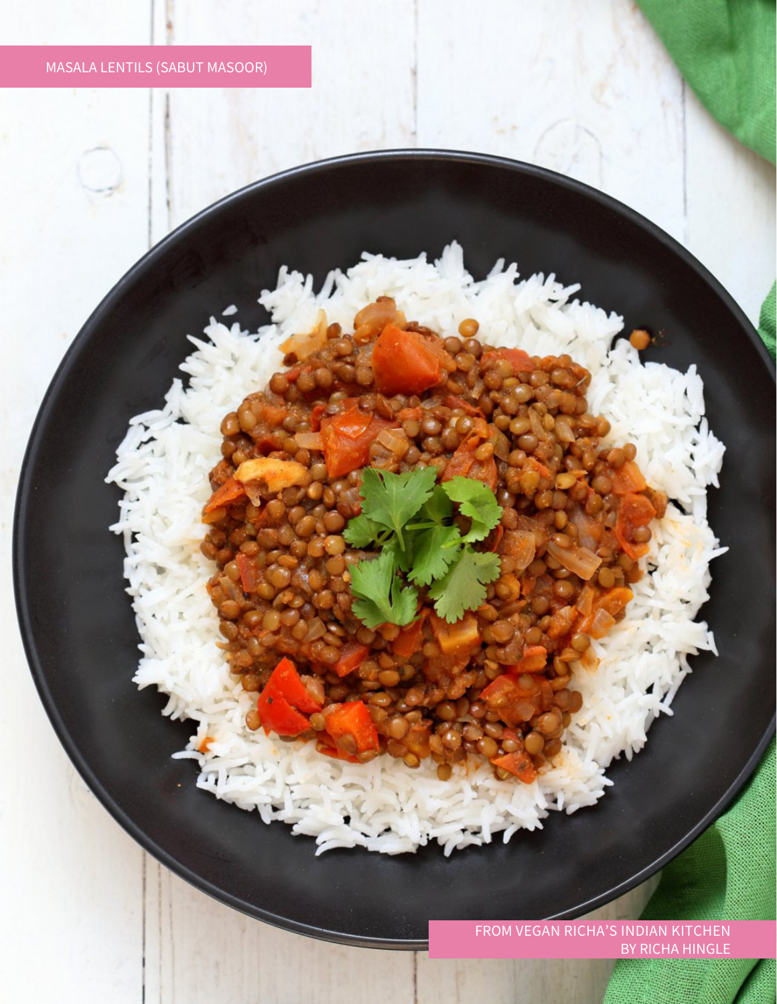## Masala Lentils (Sabut Masoor)

from Vegan Richa's Indian Kitchen By Richa Hingle